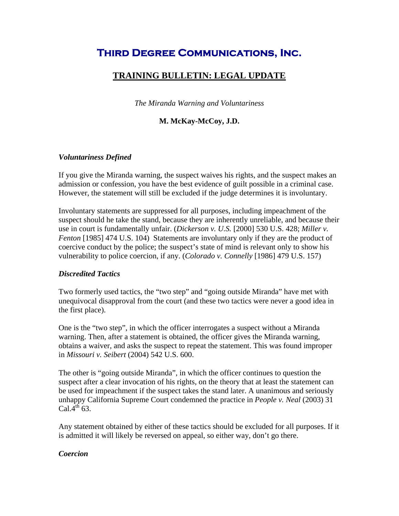# **Third Degree Communications, Inc.**

# **TRAINING BULLETIN: LEGAL UPDATE**

*The Miranda Warning and Voluntariness* 

# **M. McKay-McCoy, J.D.**

#### *Voluntariness Defined*

If you give the Miranda warning, the suspect waives his rights, and the suspect makes an admission or confession, you have the best evidence of guilt possible in a criminal case. However, the statement will still be excluded if the judge determines it is involuntary.

Involuntary statements are suppressed for all purposes, including impeachment of the suspect should he take the stand, because they are inherently unreliable, and because their use in court is fundamentally unfair. (*Dickerson v. U.S.* [2000] 530 U.S. 428; *Miller v. Fenton* [1985] 474 U.S. 104) Statements are involuntary only if they are the product of coercive conduct by the police; the suspect's state of mind is relevant only to show his vulnerability to police coercion, if any. (*Colorado v. Connelly* [1986] 479 U.S. 157)

#### *Discredited Tactics*

Two formerly used tactics, the "two step" and "going outside Miranda" have met with unequivocal disapproval from the court (and these two tactics were never a good idea in the first place).

One is the "two step", in which the officer interrogates a suspect without a Miranda warning. Then, after a statement is obtained, the officer gives the Miranda warning, obtains a waiver, and asks the suspect to repeat the statement. This was found improper in *Missouri v. Seibert* (2004) 542 U.S. 600.

The other is "going outside Miranda", in which the officer continues to question the suspect after a clear invocation of his rights, on the theory that at least the statement can be used for impeachment if the suspect takes the stand later. A unanimous and seriously unhappy California Supreme Court condemned the practice in *People v. Neal* (2003) 31 Cal. $4^{\text{th}}$  63.

Any statement obtained by either of these tactics should be excluded for all purposes. If it is admitted it will likely be reversed on appeal, so either way, don't go there.

#### *Coercion*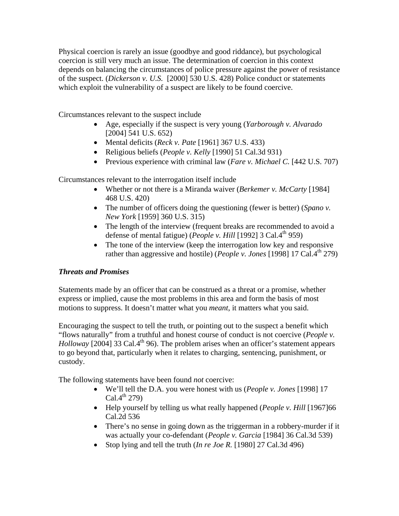Physical coercion is rarely an issue (goodbye and good riddance), but psychological coercion is still very much an issue. The determination of coercion in this context depends on balancing the circumstances of police pressure against the power of resistance of the suspect. (*Dickerson v. U.S.* [2000] 530 U.S. 428) Police conduct or statements which exploit the vulnerability of a suspect are likely to be found coercive.

Circumstances relevant to the suspect include

- Age, especially if the suspect is very young (*Yarborough v. Alvarado* [2004] 541 U.S. 652)
- Mental deficits (*Reck v. Pate* [1961] 367 U.S. 433)
- Religious beliefs (*People v. Kelly* [1990] 51 Cal.3d 931)
- Previous experience with criminal law (*Fare v. Michael C.* [442 U.S. 707)

Circumstances relevant to the interrogation itself include

- Whether or not there is a Miranda waiver (*Berkemer v. McCarty* [1984] 468 U.S. 420)
- The number of officers doing the questioning (fewer is better) (*Spano v. New York* [1959] 360 U.S. 315)
- The length of the interview (frequent breaks are recommended to avoid a defense of mental fatigue) (*People v. Hill* [1992] 3 Cal.4th 959)
- The tone of the interview (keep the interrogation low key and responsive rather than aggressive and hostile) (*People v. Jones* [1998] 17 Cal. $4^{th}$  279)

# *Threats and Promises*

Statements made by an officer that can be construed as a threat or a promise, whether express or implied, cause the most problems in this area and form the basis of most motions to suppress. It doesn't matter what you *meant*, it matters what you said.

Encouraging the suspect to tell the truth, or pointing out to the suspect a benefit which "flows naturally" from a truthful and honest course of conduct is not coercive (*People v. Holloway* [2004] 33 Cal.4<sup>th</sup> 96). The problem arises when an officer's statement appears to go beyond that, particularly when it relates to charging, sentencing, punishment, or custody.

The following statements have been found *not* coercive:

- We'll tell the D.A. you were honest with us (*People v. Jones* [1998] 17  $Cal.4<sup>th</sup> 279$
- Help yourself by telling us what really happened (*People v. Hill* [1967] 66 Cal.2d 536
- There's no sense in going down as the triggerman in a robbery-murder if it was actually your co-defendant (*People v. Garcia* [1984] 36 Cal.3d 539)
- Stop lying and tell the truth (*In re Joe R.* [1980] 27 Cal.3d 496)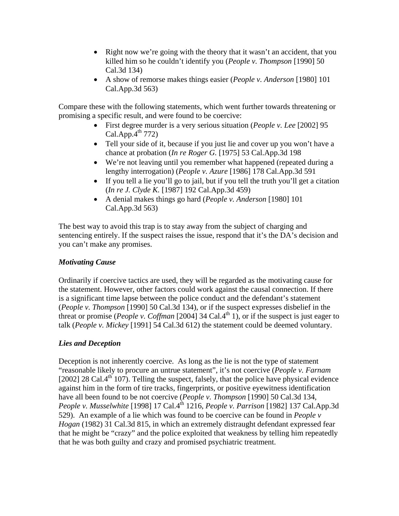- Right now we're going with the theory that it wasn't an accident, that you killed him so he couldn't identify you (*People v. Thompson* [1990] 50 Cal.3d 134)
- A show of remorse makes things easier (*People v. Anderson* [1980] 101 Cal.App.3d 563)

Compare these with the following statements, which went further towards threatening or promising a specific result, and were found to be coercive:

- First degree murder is a very serious situation (*People v. Lee* [2002] 95  $Cal.$ App. $4<sup>th</sup>$  772)
- Tell your side of it, because if you just lie and cover up you won't have a chance at probation (*In re Roger G.* [1975] 53 Cal.App.3d 198
- We're not leaving until you remember what happened (repeated during a lengthy interrogation) (*People v. Azure* [1986] 178 Cal.App.3d 591
- If you tell a lie you'll go to jail, but if you tell the truth you'll get a citation (*In re J. Clyde K.* [1987] 192 Cal.App.3d 459)
- A denial makes things go hard (*People v. Anderson* [1980] 101 Cal.App.3d 563)

The best way to avoid this trap is to stay away from the subject of charging and sentencing entirely. If the suspect raises the issue, respond that it's the DA's decision and you can't make any promises.

# *Motivating Cause*

Ordinarily if coercive tactics are used, they will be regarded as the motivating cause for the statement. However, other factors could work against the causal connection. If there is a significant time lapse between the police conduct and the defendant's statement (*People v. Thompson* [1990] 50 Cal.3d 134), or if the suspect expresses disbelief in the threat or promise (*People v. Coffman* [2004] 34 Cal.4<sup>th</sup> 1), or if the suspect is just eager to talk (*People v. Mickey* [1991] 54 Cal.3d 612) the statement could be deemed voluntary.

# *Lies and Deception*

Deception is not inherently coercive. As long as the lie is not the type of statement "reasonable likely to procure an untrue statement", it's not coercive (*People v. Farnam* [2002] 28 Cal. $4<sup>th</sup>$  107). Telling the suspect, falsely, that the police have physical evidence against him in the form of tire tracks, fingerprints, or positive eyewitness identification have all been found to be not coercive (*People v. Thompson* [1990] 50 Cal.3d 134, *People v. Musselwhite* [1998] 17 Cal.4<sup>th</sup> 1216, *People v. Parrison* [1982] 137 Cal.App.3d 529). An example of a lie which was found to be coercive can be found in *People v Hogan* (1982) 31 Cal.3d 815, in which an extremely distraught defendant expressed fear that he might be "crazy" and the police exploited that weakness by telling him repeatedly that he was both guilty and crazy and promised psychiatric treatment.